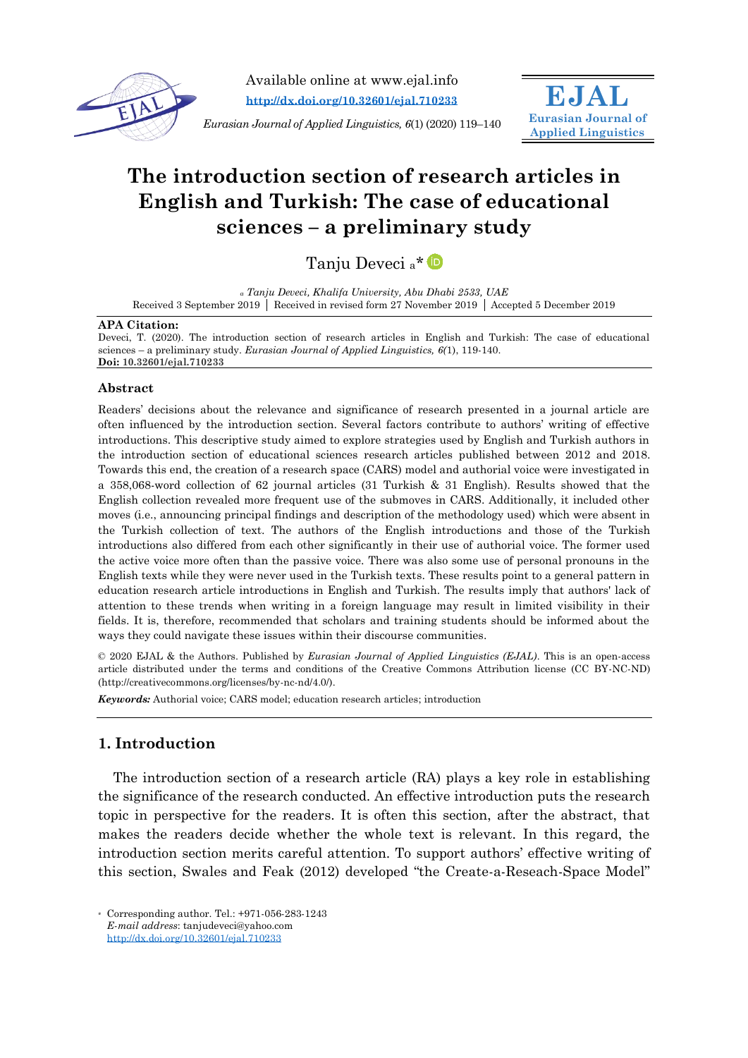

Available online at www.ejal.info **<http://dx.doi.org/10.32601/ejal.710233>**

*Eurasian Journal of Applied Linguistics, 6*(1) (2020) 119–140



# **The introduction section of research articles in English and Turkish: The case of educational sciences – a preliminary study**

Tanju Deveci a\*

*<sup>a</sup> Tanju Deveci, Khalifa University, Abu Dhabi 2533, UAE* Received 3 September 2019 | Received in revised form 27 November 2019 | Accepted 5 December 2019

#### **APA Citation:**

Deveci, T. (2020). The introduction section of research articles in English and Turkish: The case of educational sciences – a preliminary study. *Eurasian Journal of Applied Linguistics, 6(*1), 119-140. **Doi: 10.32601/ejal.710233**

### **Abstract**

Readers' decisions about the relevance and significance of research presented in a journal article are often influenced by the introduction section. Several factors contribute to authors' writing of effective introductions. This descriptive study aimed to explore strategies used by English and Turkish authors in the introduction section of educational sciences research articles published between 2012 and 2018. Towards this end, the creation of a research space (CARS) model and authorial voice were investigated in a 358,068-word collection of 62 journal articles (31 Turkish & 31 English). Results showed that the English collection revealed more frequent use of the submoves in CARS. Additionally, it included other moves (i.e., announcing principal findings and description of the methodology used) which were absent in the Turkish collection of text. The authors of the English introductions and those of the Turkish introductions also differed from each other significantly in their use of authorial voice. The former used the active voice more often than the passive voice. There was also some use of personal pronouns in the English texts while they were never used in the Turkish texts. These results point to a general pattern in education research article introductions in English and Turkish. The results imply that authors' lack of attention to these trends when writing in a foreign language may result in limited visibility in their fields. It is, therefore, recommended that scholars and training students should be informed about the ways they could navigate these issues within their discourse communities.

© 2020 EJAL & the Authors. Published by *Eurasian Journal of Applied Linguistics (EJAL)*. This is an open-access article distributed under the terms and conditions of the Creative Commons Attribution license (CC BY-NC-ND) (http://creativecommons.org/licenses/by-nc-nd/4.0/).

*Keywords:* Authorial voice; CARS model; education research articles; introduction

# **1. Introduction**

The introduction section of a research article (RA) plays a key role in establishing the significance of the research conducted. An effective introduction puts the research topic in perspective for the readers. It is often this section, after the abstract, that makes the readers decide whether the whole text is relevant. In this regard, the introduction section merits careful attention. To support authors' effective writing of this section, Swales and Feak (2012) developed "the Create-a-Reseach-Space Model"

<sup>\*</sup> Corresponding author. Tel.: +971-056-283-1243 *E-mail address*: tanjudeveci@yahoo.com http://dx.doi.org/[10.32601/ejal.710233](http://dx.doi.org/10.32601/ejal.710233)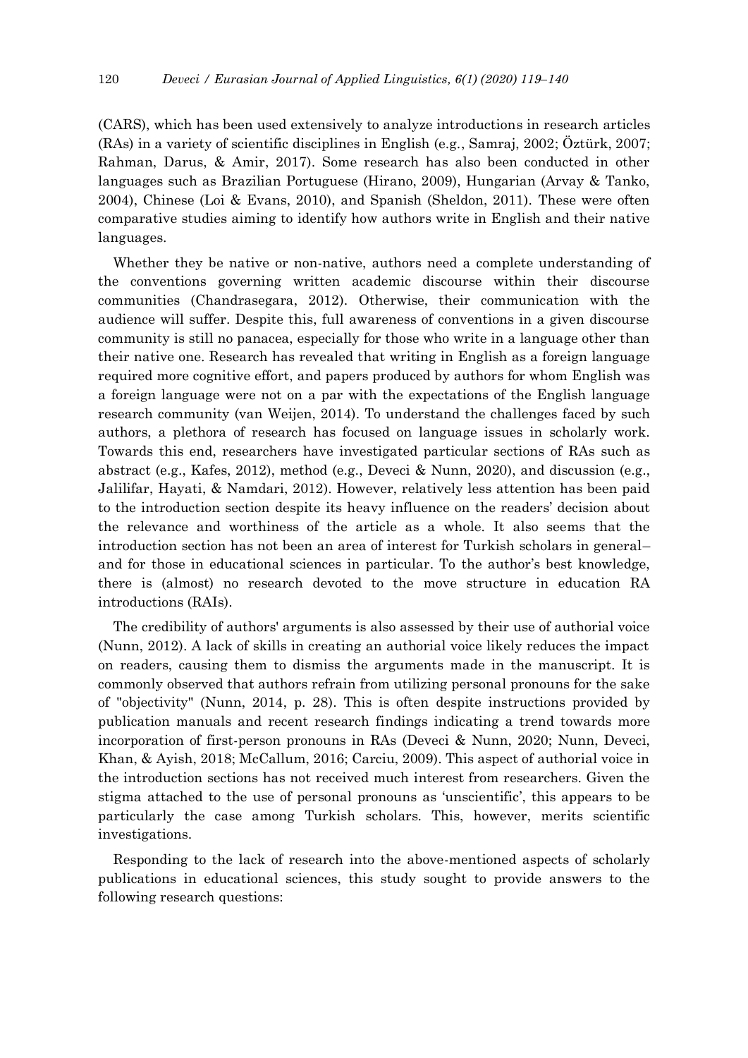(CARS), which has been used extensively to analyze introductions in research articles (RAs) in a variety of scientific disciplines in English (e.g., Samraj, 2002; Öztürk, 2007; Rahman, Darus, & Amir, 2017). Some research has also been conducted in other languages such as Brazilian Portuguese (Hirano, 2009), Hungarian (Arvay & Tanko, 2004), Chinese (Loi & Evans, 2010), and Spanish (Sheldon, 2011). These were often comparative studies aiming to identify how authors write in English and their native languages.

Whether they be native or non-native, authors need a complete understanding of the conventions governing written academic discourse within their discourse communities (Chandrasegara, 2012). Otherwise, their communication with the audience will suffer. Despite this, full awareness of conventions in a given discourse community is still no panacea, especially for those who write in a language other than their native one. Research has revealed that writing in English as a foreign language required more cognitive effort, and papers produced by authors for whom English was a foreign language were not on a par with the expectations of the English language research community (van Weijen, 2014). To understand the challenges faced by such authors, a plethora of research has focused on language issues in scholarly work. Towards this end, researchers have investigated particular sections of RAs such as abstract (e.g., Kafes, 2012), method (e.g., Deveci & Nunn, 2020), and discussion (e.g., Jalilifar, Hayati, & Namdari, 2012). However, relatively less attention has been paid to the introduction section despite its heavy influence on the readers' decision about the relevance and worthiness of the article as a whole. It also seems that the introduction section has not been an area of interest for Turkish scholars in general– and for those in educational sciences in particular. To the author's best knowledge, there is (almost) no research devoted to the move structure in education RA introductions (RAIs).

The credibility of authors' arguments is also assessed by their use of authorial voice (Nunn, 2012). A lack of skills in creating an authorial voice likely reduces the impact on readers, causing them to dismiss the arguments made in the manuscript. It is commonly observed that authors refrain from utilizing personal pronouns for the sake of "objectivity" (Nunn, 2014, p. 28). This is often despite instructions provided by publication manuals and recent research findings indicating a trend towards more incorporation of first-person pronouns in RAs (Deveci & Nunn, 2020; Nunn, Deveci, Khan, & Ayish, 2018; McCallum, 2016; Carciu, 2009). This aspect of authorial voice in the introduction sections has not received much interest from researchers. Given the stigma attached to the use of personal pronouns as 'unscientific', this appears to be particularly the case among Turkish scholars. This, however, merits scientific investigations.

Responding to the lack of research into the above-mentioned aspects of scholarly publications in educational sciences, this study sought to provide answers to the following research questions: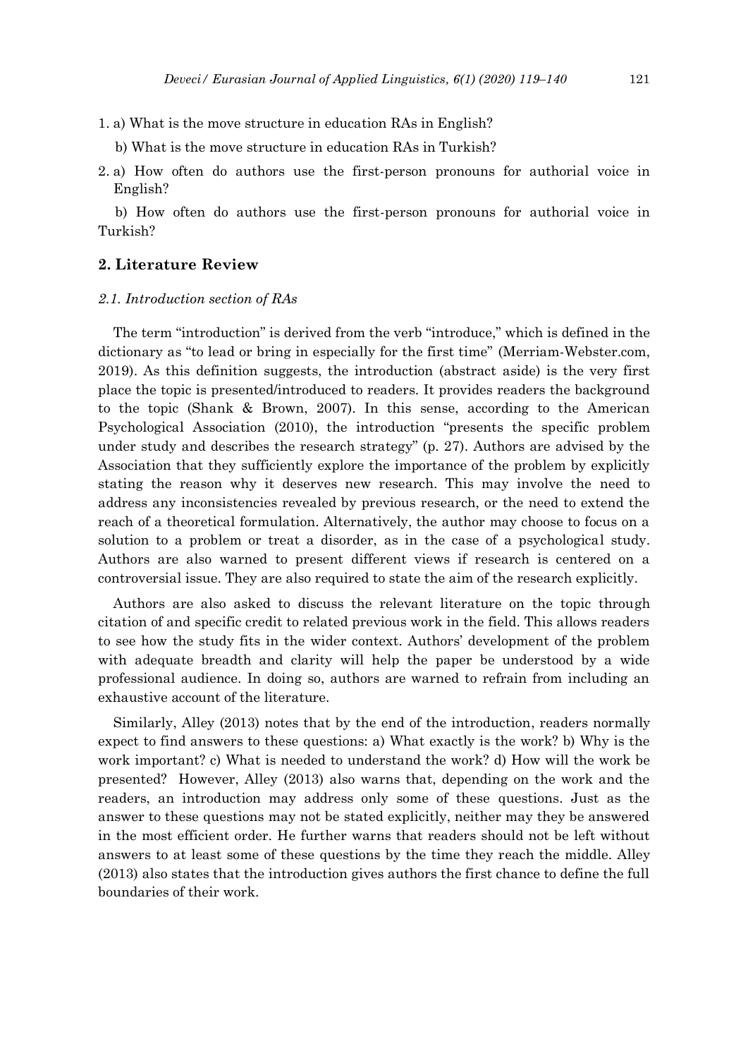- 1. a) What is the move structure in education RAs in English?
	- b) What is the move structure in education RAs in Turkish?
- 2. a) How often do authors use the first-person pronouns for authorial voice in English?

b) How often do authors use the first-person pronouns for authorial voice in Turkish?

# **2. Literature Review**

## *2.1. Introduction section of RAs*

The term "introduction" is derived from the verb "introduce," which is defined in the dictionary as "to lead or bring in especially for the first time" (Merriam-Webster.com, 2019). As this definition suggests, the introduction (abstract aside) is the very first place the topic is presented/introduced to readers. It provides readers the background to the topic (Shank & Brown, 2007). In this sense, according to the American Psychological Association (2010), the introduction "presents the specific problem under study and describes the research strategy" (p. 27). Authors are advised by the Association that they sufficiently explore the importance of the problem by explicitly stating the reason why it deserves new research. This may involve the need to address any inconsistencies revealed by previous research, or the need to extend the reach of a theoretical formulation. Alternatively, the author may choose to focus on a solution to a problem or treat a disorder, as in the case of a psychological study. Authors are also warned to present different views if research is centered on a controversial issue. They are also required to state the aim of the research explicitly.

Authors are also asked to discuss the relevant literature on the topic through citation of and specific credit to related previous work in the field. This allows readers to see how the study fits in the wider context. Authors' development of the problem with adequate breadth and clarity will help the paper be understood by a wide professional audience. In doing so, authors are warned to refrain from including an exhaustive account of the literature.

Similarly, Alley (2013) notes that by the end of the introduction, readers normally expect to find answers to these questions: a) What exactly is the work? b) Why is the work important? c) What is needed to understand the work? d) How will the work be presented? However, Alley (2013) also warns that, depending on the work and the readers, an introduction may address only some of these questions. Just as the answer to these questions may not be stated explicitly, neither may they be answered in the most efficient order. He further warns that readers should not be left without answers to at least some of these questions by the time they reach the middle. Alley (2013) also states that the introduction gives authors the first chance to define the full boundaries of their work.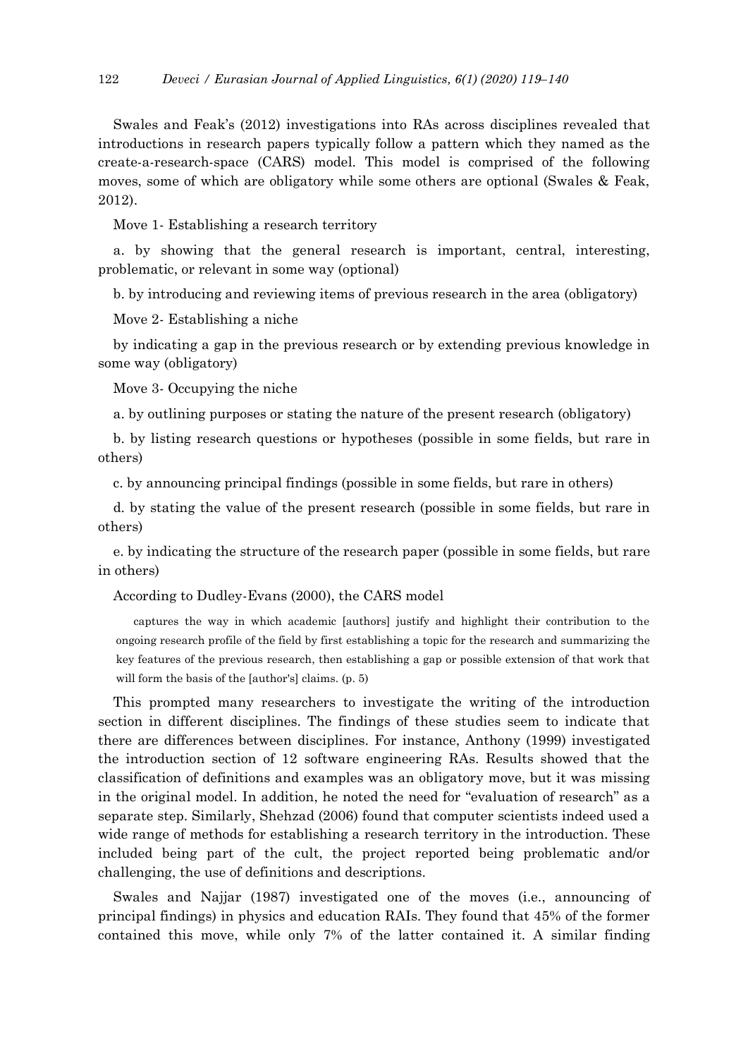Swales and Feak's (2012) investigations into RAs across disciplines revealed that introductions in research papers typically follow a pattern which they named as the create-a-research-space (CARS) model. This model is comprised of the following moves, some of which are obligatory while some others are optional (Swales & Feak, 2012).

Move 1- Establishing a research territory

a. by showing that the general research is important, central, interesting, problematic, or relevant in some way (optional)

b. by introducing and reviewing items of previous research in the area (obligatory)

Move 2- Establishing a niche

by indicating a gap in the previous research or by extending previous knowledge in some way (obligatory)

Move 3- Occupying the niche

a. by outlining purposes or stating the nature of the present research (obligatory)

b. by listing research questions or hypotheses (possible in some fields, but rare in others)

c. by announcing principal findings (possible in some fields, but rare in others)

d. by stating the value of the present research (possible in some fields, but rare in others)

e. by indicating the structure of the research paper (possible in some fields, but rare in others)

According to Dudley-Evans (2000), the CARS model

captures the way in which academic [authors] justify and highlight their contribution to the ongoing research profile of the field by first establishing a topic for the research and summarizing the key features of the previous research, then establishing a gap or possible extension of that work that will form the basis of the [author's] claims. (p. 5)

This prompted many researchers to investigate the writing of the introduction section in different disciplines. The findings of these studies seem to indicate that there are differences between disciplines. For instance, Anthony (1999) investigated the introduction section of 12 software engineering RAs. Results showed that the classification of definitions and examples was an obligatory move, but it was missing in the original model. In addition, he noted the need for "evaluation of research" as a separate step. Similarly, Shehzad (2006) found that computer scientists indeed used a wide range of methods for establishing a research territory in the introduction. These included being part of the cult, the project reported being problematic and/or challenging, the use of definitions and descriptions.

Swales and Najjar (1987) investigated one of the moves (i.e., announcing of principal findings) in physics and education RAIs. They found that 45% of the former contained this move, while only 7% of the latter contained it. A similar finding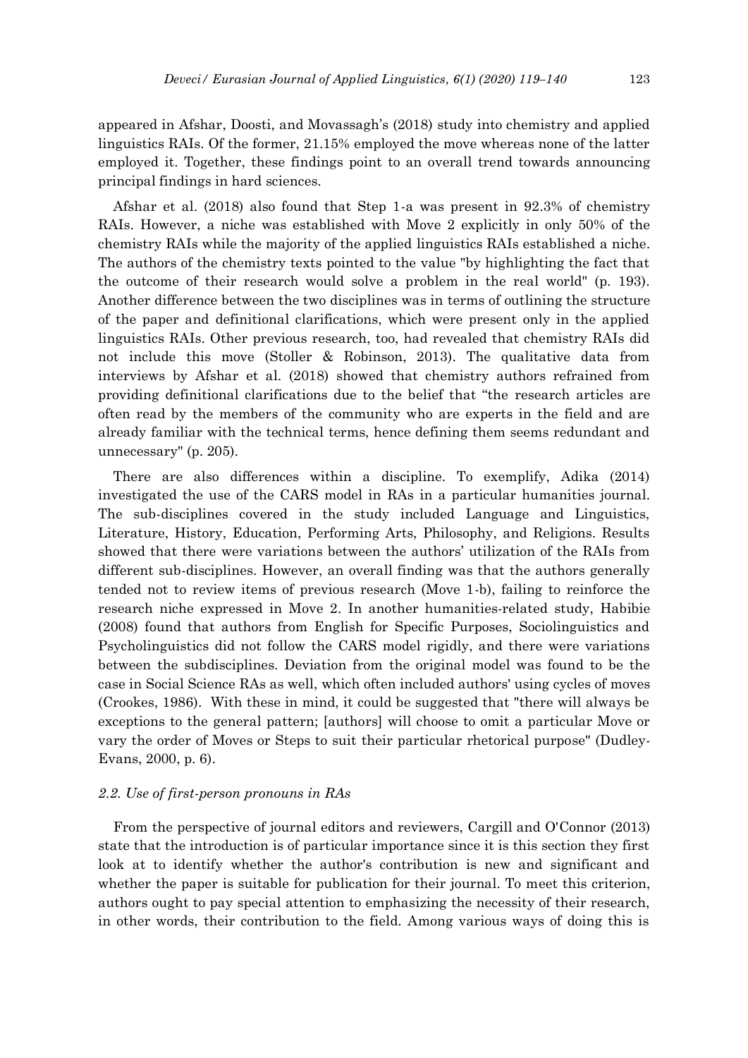appeared in Afshar, Doosti, and Movassagh's (2018) study into chemistry and applied linguistics RAIs. Of the former, 21.15% employed the move whereas none of the latter employed it. Together, these findings point to an overall trend towards announcing principal findings in hard sciences.

Afshar et al. (2018) also found that Step 1-a was present in 92.3% of chemistry RAIs. However, a niche was established with Move 2 explicitly in only 50% of the chemistry RAIs while the majority of the applied linguistics RAIs established a niche. The authors of the chemistry texts pointed to the value "by highlighting the fact that the outcome of their research would solve a problem in the real world" (p. 193). Another difference between the two disciplines was in terms of outlining the structure of the paper and definitional clarifications, which were present only in the applied linguistics RAIs. Other previous research, too, had revealed that chemistry RAIs did not include this move (Stoller & Robinson, 2013). The qualitative data from interviews by Afshar et al. (2018) showed that chemistry authors refrained from providing definitional clarifications due to the belief that "the research articles are often read by the members of the community who are experts in the field and are already familiar with the technical terms, hence defining them seems redundant and unnecessary" (p. 205).

There are also differences within a discipline. To exemplify, Adika (2014) investigated the use of the CARS model in RAs in a particular humanities journal. The sub-disciplines covered in the study included Language and Linguistics, Literature, History, Education, Performing Arts, Philosophy, and Religions. Results showed that there were variations between the authors' utilization of the RAIs from different sub-disciplines. However, an overall finding was that the authors generally tended not to review items of previous research (Move 1-b), failing to reinforce the research niche expressed in Move 2. In another humanities-related study, Habibie (2008) found that authors from English for Specific Purposes, Sociolinguistics and Psycholinguistics did not follow the CARS model rigidly, and there were variations between the subdisciplines. Deviation from the original model was found to be the case in Social Science RAs as well, which often included authors' using cycles of moves (Crookes, 1986). With these in mind, it could be suggested that "there will always be exceptions to the general pattern; [authors] will choose to omit a particular Move or vary the order of Moves or Steps to suit their particular rhetorical purpose" (Dudley-Evans, 2000, p. 6).

# *2.2. Use of first-person pronouns in RAs*

From the perspective of journal editors and reviewers, Cargill and O'Connor (2013) state that the introduction is of particular importance since it is this section they first look at to identify whether the author's contribution is new and significant and whether the paper is suitable for publication for their journal. To meet this criterion, authors ought to pay special attention to emphasizing the necessity of their research, in other words, their contribution to the field. Among various ways of doing this is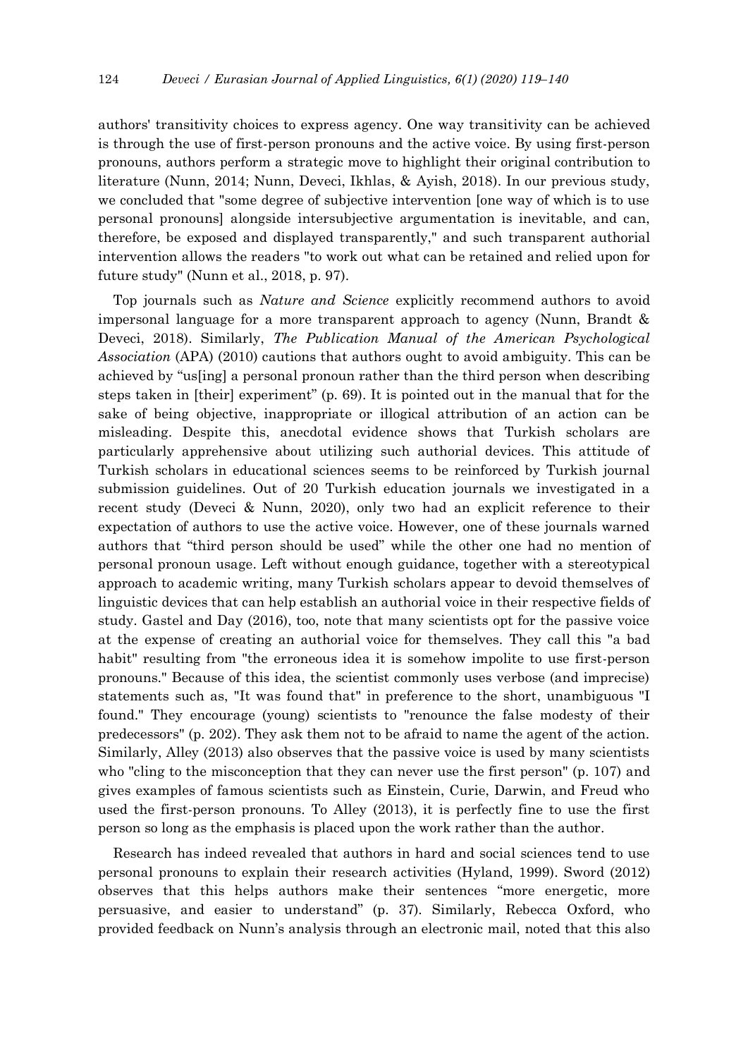authors' transitivity choices to express agency. One way transitivity can be achieved is through the use of first-person pronouns and the active voice. By using first-person pronouns, authors perform a strategic move to highlight their original contribution to literature (Nunn, 2014; Nunn, Deveci, Ikhlas, & Ayish, 2018). In our previous study, we concluded that "some degree of subjective intervention [one way of which is to use personal pronouns] alongside intersubjective argumentation is inevitable, and can, therefore, be exposed and displayed transparently," and such transparent authorial intervention allows the readers "to work out what can be retained and relied upon for future study" (Nunn et al., 2018, p. 97).

Top journals such as *Nature and Science* explicitly recommend authors to avoid impersonal language for a more transparent approach to agency (Nunn, Brandt & Deveci, 2018). Similarly, *The Publication Manual of the American Psychological Association* (APA) (2010) cautions that authors ought to avoid ambiguity. This can be achieved by "us[ing] a personal pronoun rather than the third person when describing steps taken in [their] experiment" (p. 69). It is pointed out in the manual that for the sake of being objective, inappropriate or illogical attribution of an action can be misleading. Despite this, anecdotal evidence shows that Turkish scholars are particularly apprehensive about utilizing such authorial devices. This attitude of Turkish scholars in educational sciences seems to be reinforced by Turkish journal submission guidelines. Out of 20 Turkish education journals we investigated in a recent study (Deveci & Nunn, 2020), only two had an explicit reference to their expectation of authors to use the active voice. However, one of these journals warned authors that "third person should be used" while the other one had no mention of personal pronoun usage. Left without enough guidance, together with a stereotypical approach to academic writing, many Turkish scholars appear to devoid themselves of linguistic devices that can help establish an authorial voice in their respective fields of study. Gastel and Day (2016), too, note that many scientists opt for the passive voice at the expense of creating an authorial voice for themselves. They call this "a bad habit" resulting from "the erroneous idea it is somehow impolite to use first-person pronouns." Because of this idea, the scientist commonly uses verbose (and imprecise) statements such as, "It was found that" in preference to the short, unambiguous "I found." They encourage (young) scientists to "renounce the false modesty of their predecessors" (p. 202). They ask them not to be afraid to name the agent of the action. Similarly, Alley (2013) also observes that the passive voice is used by many scientists who "cling to the misconception that they can never use the first person" (p. 107) and gives examples of famous scientists such as Einstein, Curie, Darwin, and Freud who used the first-person pronouns. To Alley (2013), it is perfectly fine to use the first person so long as the emphasis is placed upon the work rather than the author.

Research has indeed revealed that authors in hard and social sciences tend to use personal pronouns to explain their research activities (Hyland, 1999). Sword (2012) observes that this helps authors make their sentences "more energetic, more persuasive, and easier to understand" (p. 37). Similarly, Rebecca Oxford, who provided feedback on Nunn's analysis through an electronic mail, noted that this also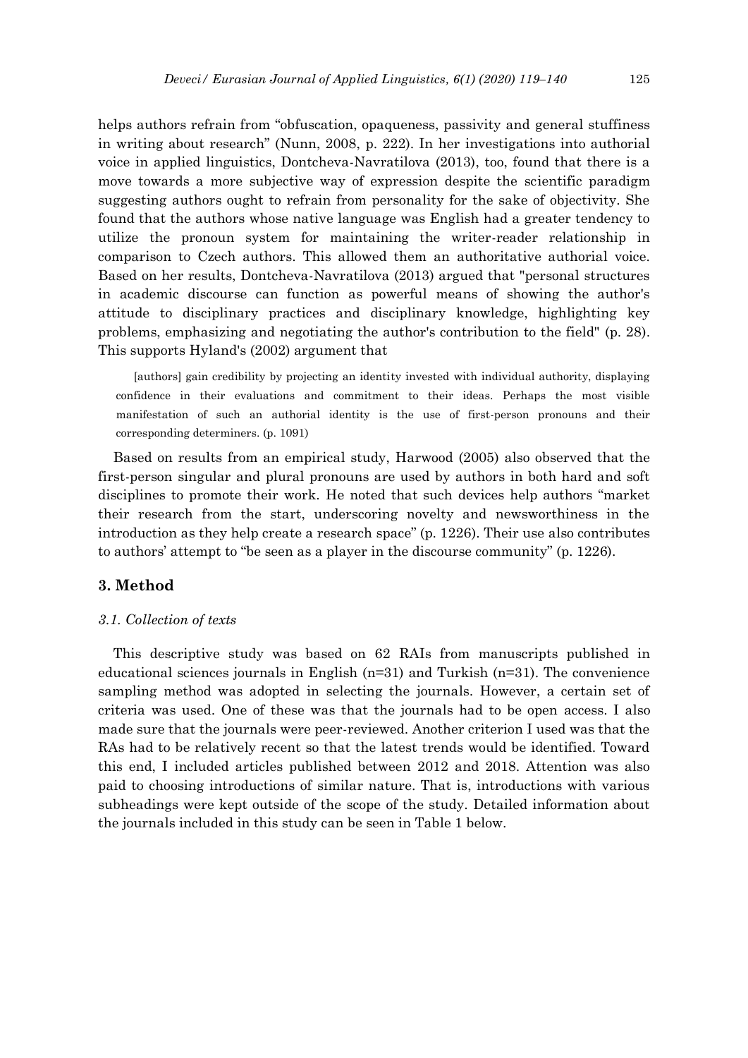helps authors refrain from "obfuscation, opaqueness, passivity and general stuffiness in writing about research" (Nunn, 2008, p. 222). In her investigations into authorial voice in applied linguistics, Dontcheva-Navratilova (2013), too, found that there is a move towards a more subjective way of expression despite the scientific paradigm suggesting authors ought to refrain from personality for the sake of objectivity. She found that the authors whose native language was English had a greater tendency to utilize the pronoun system for maintaining the writer-reader relationship in comparison to Czech authors. This allowed them an authoritative authorial voice. Based on her results, Dontcheva-Navratilova (2013) argued that "personal structures in academic discourse can function as powerful means of showing the author's attitude to disciplinary practices and disciplinary knowledge, highlighting key problems, emphasizing and negotiating the author's contribution to the field" (p. 28). This supports Hyland's (2002) argument that

[authors] gain credibility by projecting an identity invested with individual authority, displaying confidence in their evaluations and commitment to their ideas. Perhaps the most visible manifestation of such an authorial identity is the use of first-person pronouns and their corresponding determiners. (p. 1091)

Based on results from an empirical study, Harwood (2005) also observed that the first-person singular and plural pronouns are used by authors in both hard and soft disciplines to promote their work. He noted that such devices help authors "market their research from the start, underscoring novelty and newsworthiness in the introduction as they help create a research space" (p. 1226). Their use also contributes to authors' attempt to "be seen as a player in the discourse community" (p. 1226).

# **3. Method**

#### *3.1. Collection of texts*

This descriptive study was based on 62 RAIs from manuscripts published in educational sciences journals in English (n=31) and Turkish (n=31). The convenience sampling method was adopted in selecting the journals. However, a certain set of criteria was used. One of these was that the journals had to be open access. I also made sure that the journals were peer-reviewed. Another criterion I used was that the RAs had to be relatively recent so that the latest trends would be identified. Toward this end, I included articles published between 2012 and 2018. Attention was also paid to choosing introductions of similar nature. That is, introductions with various subheadings were kept outside of the scope of the study. Detailed information about the journals included in this study can be seen in Table 1 below.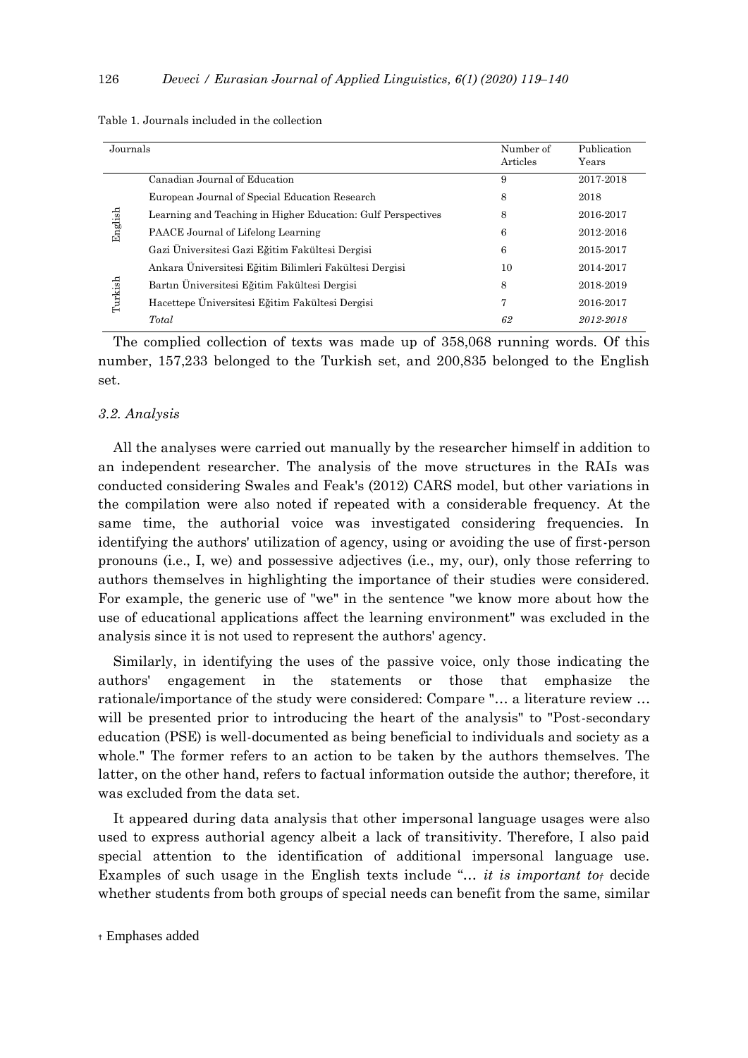| Journals |                                                              | Number of<br>Articles | Publication<br>Years |
|----------|--------------------------------------------------------------|-----------------------|----------------------|
|          | Canadian Journal of Education                                | 9                     | 2017-2018            |
|          | European Journal of Special Education Research               | 8                     | 2018                 |
|          | Learning and Teaching in Higher Education: Gulf Perspectives | 8                     | 2016-2017            |
| English  | PAACE Journal of Lifelong Learning                           | 6                     | 2012-2016            |
|          | Gazi Üniversitesi Gazi Eğitim Fakültesi Dergisi              | 6                     | 2015-2017            |
|          | Ankara Üniversitesi Eğitim Bilimleri Fakültesi Dergisi       | 10                    | 2014-2017            |
|          | Bartın Üniversitesi Eğitim Fakültesi Dergisi                 | 8                     | 2018-2019            |
| Turkish  | Hacettepe Üniversitesi Eğitim Fakültesi Dergisi              | 7                     | 2016-2017            |
|          | Total                                                        | 62                    | 2012-2018            |

| Table 1. Journals included in the collection |  |
|----------------------------------------------|--|
|----------------------------------------------|--|

The complied collection of texts was made up of 358,068 running words. Of this number, 157,233 belonged to the Turkish set, and 200,835 belonged to the English set.

# *3.2. Analysis*

All the analyses were carried out manually by the researcher himself in addition to an independent researcher. The analysis of the move structures in the RAIs was conducted considering Swales and Feak's (2012) CARS model, but other variations in the compilation were also noted if repeated with a considerable frequency. At the same time, the authorial voice was investigated considering frequencies. In identifying the authors' utilization of agency, using or avoiding the use of first-person pronouns (i.e., I, we) and possessive adjectives (i.e., my, our), only those referring to authors themselves in highlighting the importance of their studies were considered. For example, the generic use of "we" in the sentence "we know more about how the use of educational applications affect the learning environment" was excluded in the analysis since it is not used to represent the authors' agency.

Similarly, in identifying the uses of the passive voice, only those indicating the authors' engagement in the statements or those that emphasize the rationale/importance of the study were considered: Compare "… a literature review … will be presented prior to introducing the heart of the analysis" to "Post-secondary" education (PSE) is well-documented as being beneficial to individuals and society as a whole." The former refers to an action to be taken by the authors themselves. The latter, on the other hand, refers to factual information outside the author; therefore, it was excluded from the data set.

It appeared during data analysis that other impersonal language usages were also used to express authorial agency albeit a lack of transitivity. Therefore, I also paid special attention to the identification of additional impersonal language use. Examples of such usage in the English texts include "… *it is important to†* decide whether students from both groups of special needs can benefit from the same, similar

<sup>†</sup> Emphases added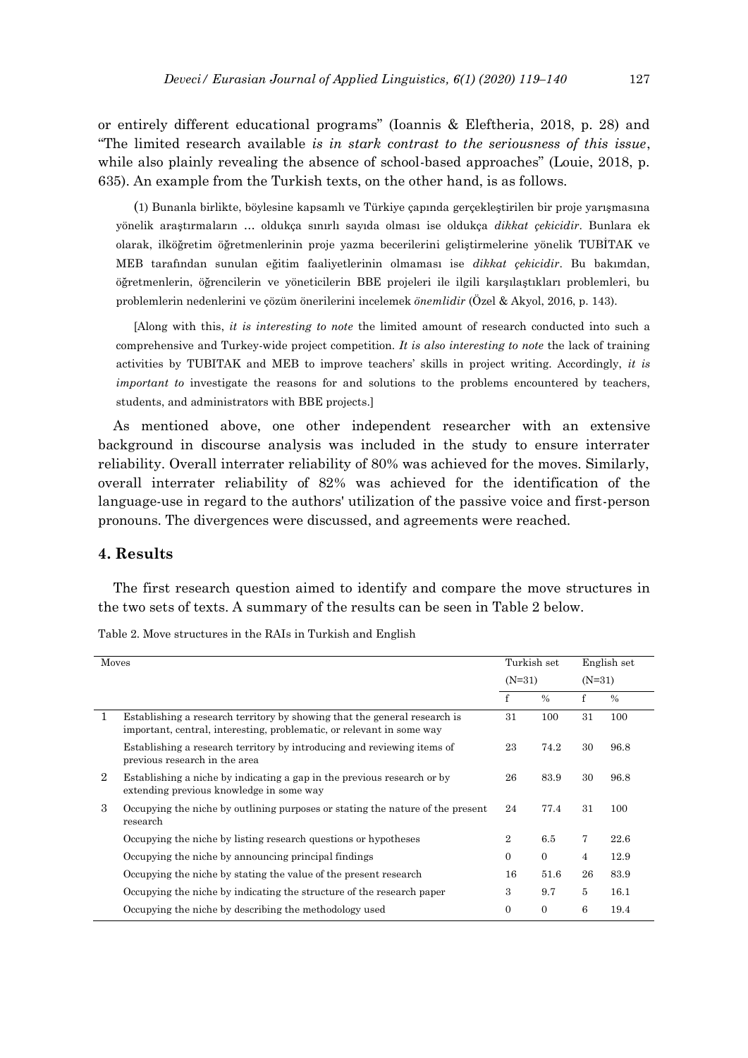or entirely different educational programs" (Ioannis & Eleftheria, 2018, p. 28) and "The limited research available *is in stark contrast to the seriousness of this issue*, while also plainly revealing the absence of school-based approaches" (Louie, 2018, p. 635). An example from the Turkish texts, on the other hand, is as follows.

(1) Bunanla birlikte, böylesine kapsamlı ve Türkiye çapında gerçekleştirilen bir proje yarışmasına yönelik araştırmaların … oldukça sınırlı sayıda olması ise oldukça *dikkat çekicidir*. Bunlara ek olarak, ilköğretim öğretmenlerinin proje yazma becerilerini geliştirmelerine yönelik TUBİTAK ve MEB tarafından sunulan eğitim faaliyetlerinin olmaması ise *dikkat çekicidir*. Bu bakımdan, öğretmenlerin, öğrencilerin ve yöneticilerin BBE projeleri ile ilgili karşılaştıkları problemleri, bu problemlerin nedenlerini ve çözüm önerilerini incelemek *önemlidir* (Özel & Akyol, 2016, p. 143).

[Along with this, *it is interesting to note* the limited amount of research conducted into such a comprehensive and Turkey-wide project competition. *It is also interesting to note* the lack of training activities by TUBITAK and MEB to improve teachers' skills in project writing. Accordingly, *it is important to* investigate the reasons for and solutions to the problems encountered by teachers, students, and administrators with BBE projects.]

As mentioned above, one other independent researcher with an extensive background in discourse analysis was included in the study to ensure interrater reliability. Overall interrater reliability of 80% was achieved for the moves. Similarly, overall interrater reliability of 82% was achieved for the identification of the language-use in regard to the authors' utilization of the passive voice and first-person pronouns. The divergences were discussed, and agreements were reached.

# **4. Results**

The first research question aimed to identify and compare the move structures in the two sets of texts. A summary of the results can be seen in Table 2 below.

| Moves          |                                                                                                                                                    | Turkish set    |                | English set |               |
|----------------|----------------------------------------------------------------------------------------------------------------------------------------------------|----------------|----------------|-------------|---------------|
|                |                                                                                                                                                    | $(N=31)$       |                | $(N=31)$    |               |
|                |                                                                                                                                                    | $\mathbf{f}$   | $\%$           | f           | $\frac{0}{0}$ |
| L              | Establishing a research territory by showing that the general research is<br>important, central, interesting, problematic, or relevant in some way | 31             | 100            | 31          | 100           |
|                | Establishing a research territory by introducing and reviewing items of<br>previous research in the area                                           | 23             | 74.2           | 30          | 96.8          |
| $\overline{2}$ | Establishing a niche by indicating a gap in the previous research or by<br>extending previous knowledge in some way                                | 26             | 83.9           | 30          | 96.8          |
| 3              | Occupying the niche by outlining purposes or stating the nature of the present<br>research                                                         | 24             | 77.4           | 31          | 100           |
|                | Occupying the niche by listing research questions or hypotheses                                                                                    | $\overline{2}$ | 6.5            | 7           | 22.6          |
|                | Occupying the niche by announcing principal findings                                                                                               | $\Omega$       | $\Omega$       | 4           | 12.9          |
|                | Occupying the niche by stating the value of the present research                                                                                   | 16             | 51.6           | 26          | 83.9          |
|                | Occupying the niche by indicating the structure of the research paper                                                                              | 3              | 9.7            | 5           | 16.1          |
|                | Occupying the niche by describing the methodology used                                                                                             | $\Omega$       | $\overline{0}$ | 6           | 19.4          |

Table 2. Move structures in the RAIs in Turkish and English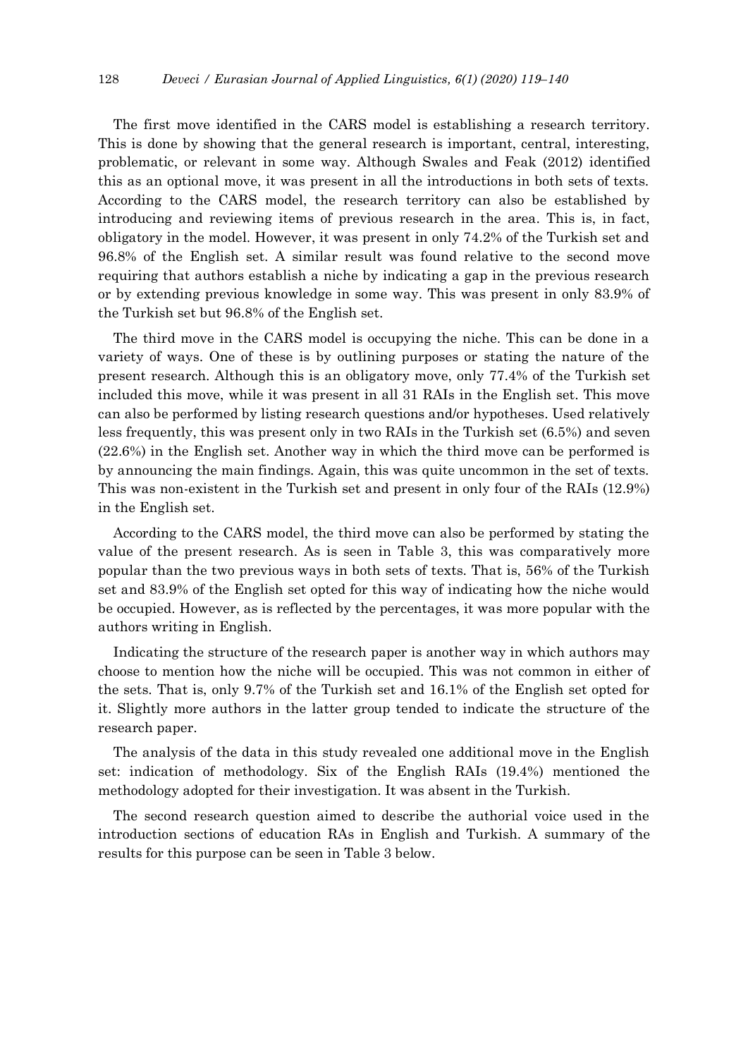The first move identified in the CARS model is establishing a research territory. This is done by showing that the general research is important, central, interesting, problematic, or relevant in some way. Although Swales and Feak (2012) identified this as an optional move, it was present in all the introductions in both sets of texts. According to the CARS model, the research territory can also be established by introducing and reviewing items of previous research in the area. This is, in fact, obligatory in the model. However, it was present in only 74.2% of the Turkish set and 96.8% of the English set. A similar result was found relative to the second move requiring that authors establish a niche by indicating a gap in the previous research or by extending previous knowledge in some way. This was present in only 83.9% of the Turkish set but 96.8% of the English set.

The third move in the CARS model is occupying the niche. This can be done in a variety of ways. One of these is by outlining purposes or stating the nature of the present research. Although this is an obligatory move, only 77.4% of the Turkish set included this move, while it was present in all 31 RAIs in the English set. This move can also be performed by listing research questions and/or hypotheses. Used relatively less frequently, this was present only in two RAIs in the Turkish set (6.5%) and seven (22.6%) in the English set. Another way in which the third move can be performed is by announcing the main findings. Again, this was quite uncommon in the set of texts. This was non-existent in the Turkish set and present in only four of the RAIs (12.9%) in the English set.

According to the CARS model, the third move can also be performed by stating the value of the present research. As is seen in Table 3, this was comparatively more popular than the two previous ways in both sets of texts. That is, 56% of the Turkish set and 83.9% of the English set opted for this way of indicating how the niche would be occupied. However, as is reflected by the percentages, it was more popular with the authors writing in English.

Indicating the structure of the research paper is another way in which authors may choose to mention how the niche will be occupied. This was not common in either of the sets. That is, only 9.7% of the Turkish set and 16.1% of the English set opted for it. Slightly more authors in the latter group tended to indicate the structure of the research paper.

The analysis of the data in this study revealed one additional move in the English set: indication of methodology. Six of the English RAIs (19.4%) mentioned the methodology adopted for their investigation. It was absent in the Turkish.

The second research question aimed to describe the authorial voice used in the introduction sections of education RAs in English and Turkish. A summary of the results for this purpose can be seen in Table 3 below.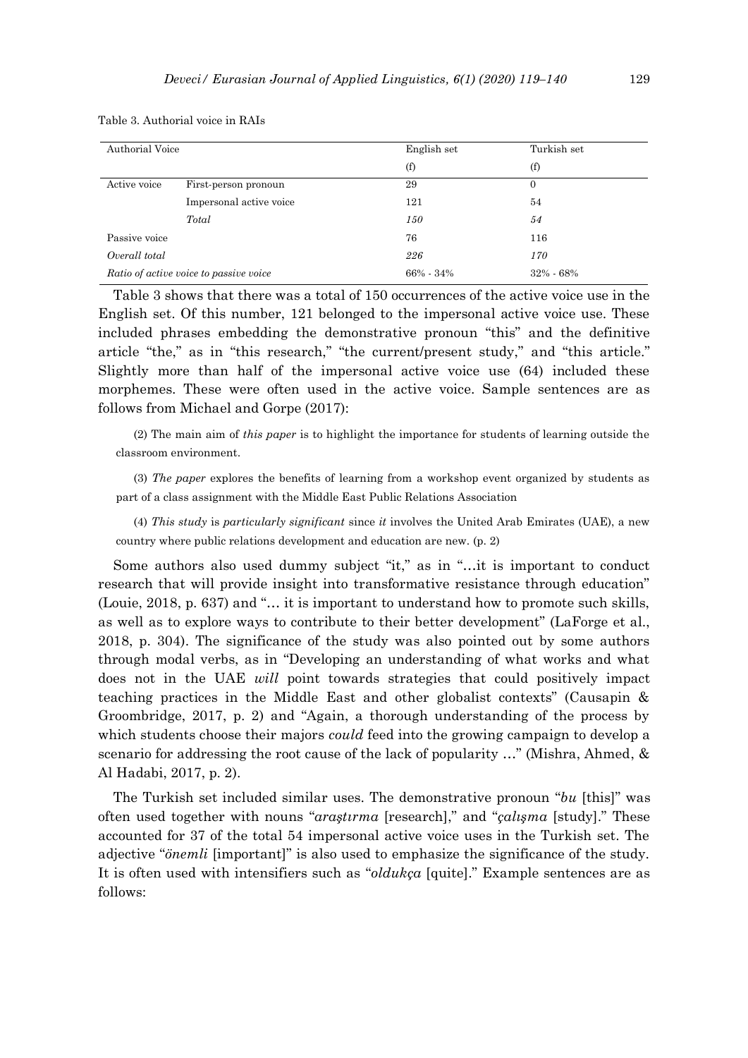| Authorial Voice                        |                         | English set   | Turkish set |
|----------------------------------------|-------------------------|---------------|-------------|
|                                        |                         | (f)           | (f)         |
| Active voice                           | First-person pronoun    | 29            | 0           |
|                                        | Impersonal active voice | 121           | 54          |
|                                        | Total                   | 150           | 54          |
| Passive voice                          |                         | 76            | 116         |
| Overall total                          |                         | 226           | 170         |
| Ratio of active voice to passive voice |                         | $66\% - 34\%$ | 32% - 68%   |

Table 3. Authorial voice in RAIs

Table 3 shows that there was a total of 150 occurrences of the active voice use in the English set. Of this number, 121 belonged to the impersonal active voice use. These included phrases embedding the demonstrative pronoun "this" and the definitive article "the," as in "this research," "the current/present study," and "this article." Slightly more than half of the impersonal active voice use (64) included these morphemes. These were often used in the active voice. Sample sentences are as follows from Michael and Gorpe (2017):

(2) The main aim of *this paper* is to highlight the importance for students of learning outside the classroom environment.

(3) *The paper* explores the benefits of learning from a workshop event organized by students as part of a class assignment with the Middle East Public Relations Association

(4) *This study* is *particularly significant* since *it* involves the United Arab Emirates (UAE), a new country where public relations development and education are new. (p. 2)

Some authors also used dummy subject "it," as in "…it is important to conduct research that will provide insight into transformative resistance through education" (Louie, 2018, p. 637) and "… it is important to understand how to promote such skills, as well as to explore ways to contribute to their better development" (LaForge et al., 2018, p. 304). The significance of the study was also pointed out by some authors through modal verbs, as in "Developing an understanding of what works and what does not in the UAE *will* point towards strategies that could positively impact teaching practices in the Middle East and other globalist contexts" (Causapin & Groombridge, 2017, p. 2) and "Again, a thorough understanding of the process by which students choose their majors *could* feed into the growing campaign to develop a scenario for addressing the root cause of the lack of popularity …" (Mishra, Ahmed, & Al Hadabi, 2017, p. 2).

The Turkish set included similar uses. The demonstrative pronoun "*bu* [this]" was often used together with nouns "*araştırma* [research]," and "*çalışma* [study]." These accounted for 37 of the total 54 impersonal active voice uses in the Turkish set. The adjective "*önemli* [important]" is also used to emphasize the significance of the study. It is often used with intensifiers such as "*oldukça* [quite]." Example sentences are as follows: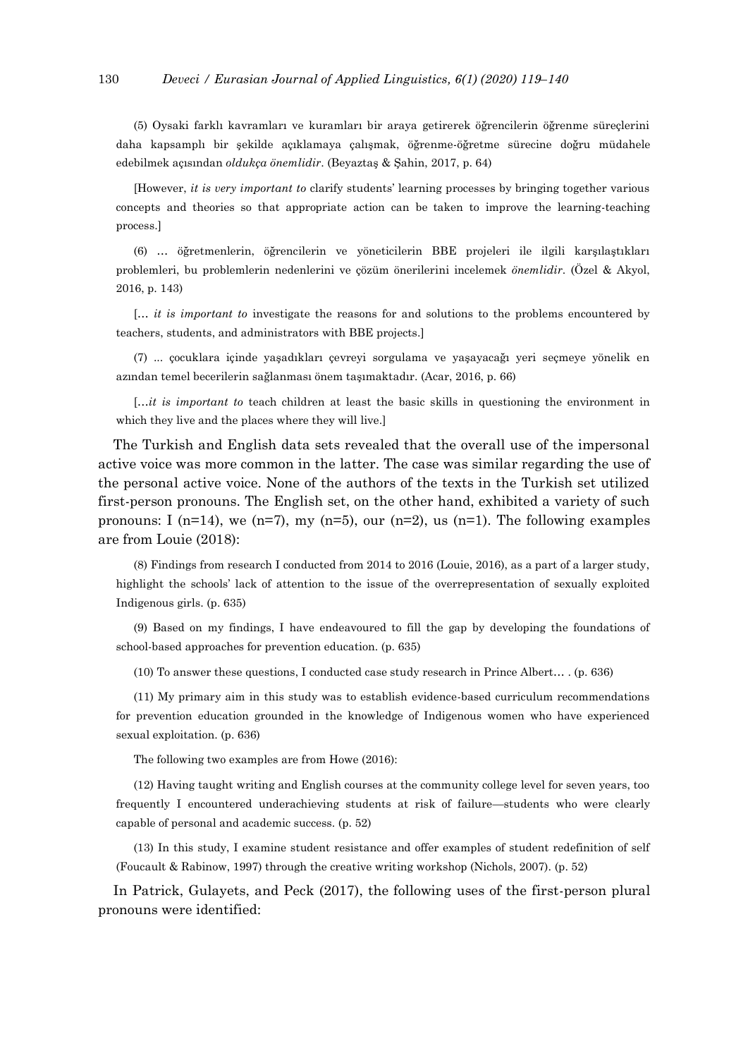(5) Oysaki farklı kavramları ve kuramları bir araya getirerek öğrencilerin öğrenme süreçlerini daha kapsamplı bir şekilde açıklamaya çalışmak, öğrenme-öğretme sürecine doğru müdahele edebilmek açısından *oldukça önemlidir*. (Beyaztaş & Şahin, 2017, p. 64)

[However, *it is very important to* clarify students' learning processes by bringing together various concepts and theories so that appropriate action can be taken to improve the learning-teaching process.]

(6) … öğretmenlerin, öğrencilerin ve yöneticilerin BBE projeleri ile ilgili karşılaştıkları problemleri, bu problemlerin nedenlerini ve çözüm önerilerini incelemek *önemlidir*. (Özel & Akyol, 2016, p. 143)

[… *it is important to* investigate the reasons for and solutions to the problems encountered by teachers, students, and administrators with BBE projects.]

(7) ... çocuklara içinde yaşadıkları çevreyi sorgulama ve yaşayacağı yeri seçmeye yönelik en azından temel becerilerin sağlanması önem taşımaktadır. (Acar, 2016, p. 66)

[…*it is important to* teach children at least the basic skills in questioning the environment in which they live and the places where they will live.]

The Turkish and English data sets revealed that the overall use of the impersonal active voice was more common in the latter. The case was similar regarding the use of the personal active voice. None of the authors of the texts in the Turkish set utilized first-person pronouns. The English set, on the other hand, exhibited a variety of such pronouns: I (n=14), we (n=7), my (n=5), our (n=2), us (n=1). The following examples are from Louie (2018):

(8) Findings from research I conducted from 2014 to 2016 (Louie, 2016), as a part of a larger study, highlight the schools' lack of attention to the issue of the overrepresentation of sexually exploited Indigenous girls. (p. 635)

(9) Based on my findings, I have endeavoured to fill the gap by developing the foundations of school-based approaches for prevention education. (p. 635)

(10) To answer these questions, I conducted case study research in Prince Albert… . (p. 636)

(11) My primary aim in this study was to establish evidence-based curriculum recommendations for prevention education grounded in the knowledge of Indigenous women who have experienced sexual exploitation. (p. 636)

The following two examples are from Howe (2016):

(12) Having taught writing and English courses at the community college level for seven years, too frequently I encountered underachieving students at risk of failure—students who were clearly capable of personal and academic success. (p. 52)

(13) In this study, I examine student resistance and offer examples of student redefinition of self (Foucault & Rabinow, 1997) through the creative writing workshop (Nichols, 2007). (p. 52)

In Patrick, Gulayets, and Peck (2017), the following uses of the first-person plural pronouns were identified: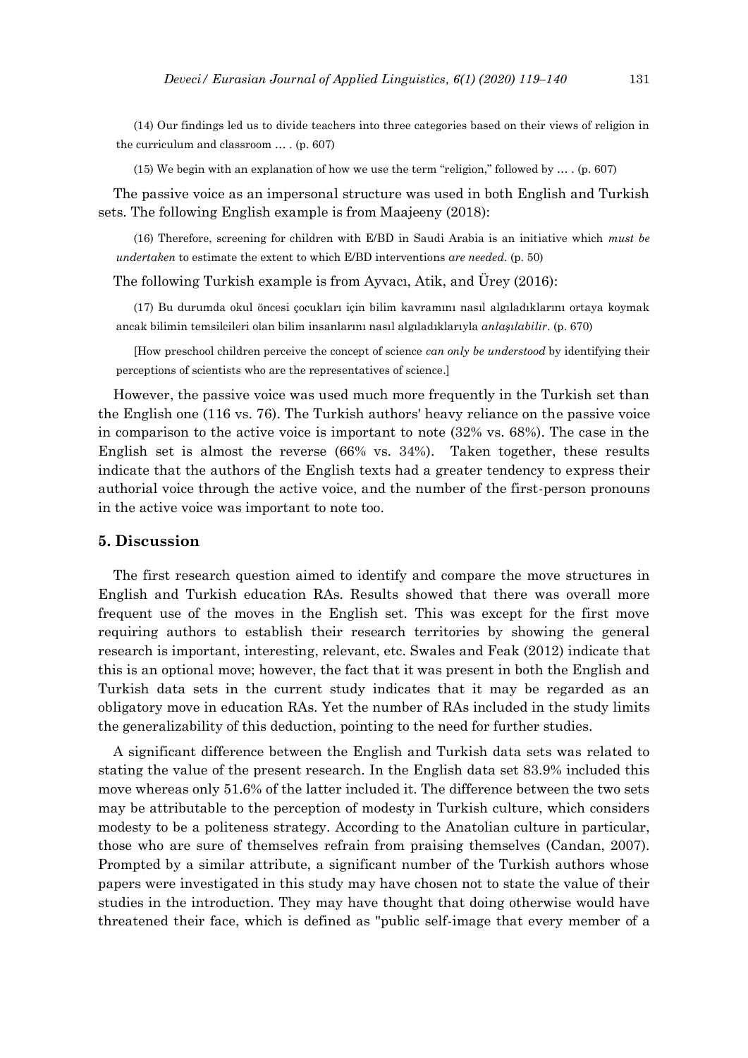(14) Our findings led us to divide teachers into three categories based on their views of religion in the curriculum and classroom … . (p. 607)

(15) We begin with an explanation of how we use the term "religion," followed by … . (p. 607)

The passive voice as an impersonal structure was used in both English and Turkish sets. The following English example is from Maajeeny (2018):

(16) Therefore, screening for children with E/BD in Saudi Arabia is an initiative which *must be undertaken* to estimate the extent to which E/BD interventions *are needed.* (p. 50)

The following Turkish example is from Ayvacı, Atik, and Ürey (2016):

(17) Bu durumda okul öncesi çocukları için bilim kavramını nasıl algıladıklarını ortaya koymak ancak bilimin temsilcileri olan bilim insanlarını nasıl algıladıklarıyla *anlaşılabilir*. (p. 670)

[How preschool children perceive the concept of science *can only be understood* by identifying their perceptions of scientists who are the representatives of science.]

However, the passive voice was used much more frequently in the Turkish set than the English one (116 vs. 76). The Turkish authors' heavy reliance on the passive voice in comparison to the active voice is important to note (32% vs. 68%). The case in the English set is almost the reverse (66% vs. 34%). Taken together, these results indicate that the authors of the English texts had a greater tendency to express their authorial voice through the active voice, and the number of the first-person pronouns in the active voice was important to note too.

# **5. Discussion**

The first research question aimed to identify and compare the move structures in English and Turkish education RAs. Results showed that there was overall more frequent use of the moves in the English set. This was except for the first move requiring authors to establish their research territories by showing the general research is important, interesting, relevant, etc. Swales and Feak (2012) indicate that this is an optional move; however, the fact that it was present in both the English and Turkish data sets in the current study indicates that it may be regarded as an obligatory move in education RAs. Yet the number of RAs included in the study limits the generalizability of this deduction, pointing to the need for further studies.

A significant difference between the English and Turkish data sets was related to stating the value of the present research. In the English data set 83.9% included this move whereas only 51.6% of the latter included it. The difference between the two sets may be attributable to the perception of modesty in Turkish culture, which considers modesty to be a politeness strategy. According to the Anatolian culture in particular, those who are sure of themselves refrain from praising themselves (Candan, 2007). Prompted by a similar attribute, a significant number of the Turkish authors whose papers were investigated in this study may have chosen not to state the value of their studies in the introduction. They may have thought that doing otherwise would have threatened their face, which is defined as "public self-image that every member of a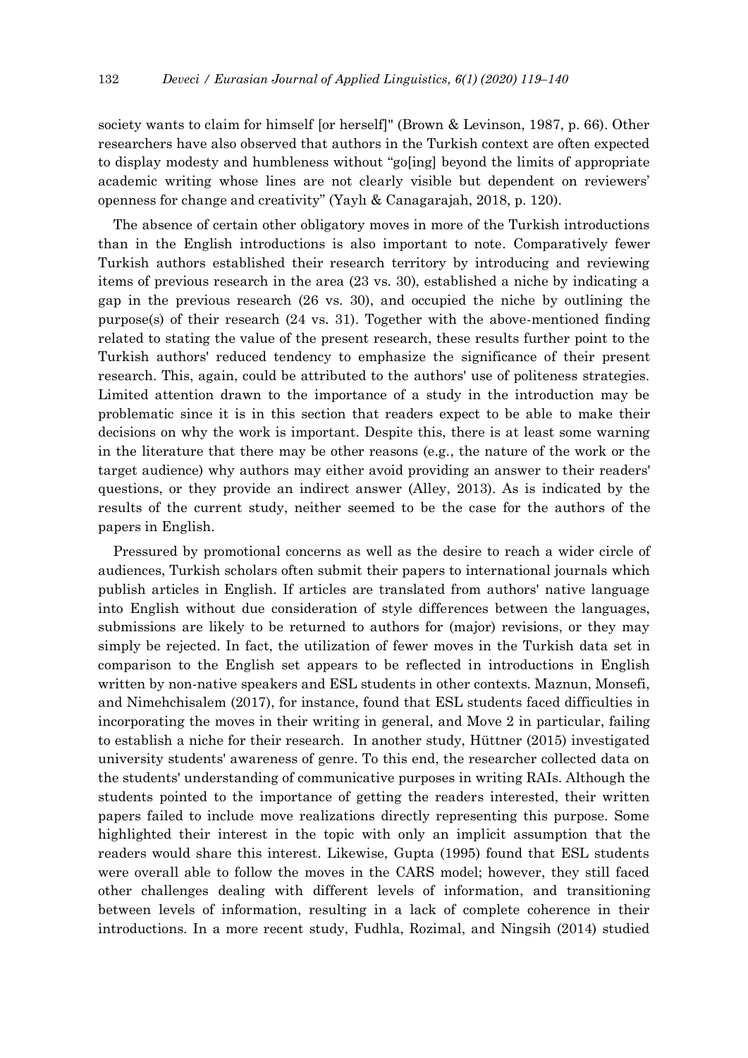society wants to claim for himself [or herself]" (Brown & Levinson, 1987, p. 66). Other researchers have also observed that authors in the Turkish context are often expected to display modesty and humbleness without "go[ing] beyond the limits of appropriate academic writing whose lines are not clearly visible but dependent on reviewers' openness for change and creativity" (Yaylı & Canagarajah, 2018, p. 120).

The absence of certain other obligatory moves in more of the Turkish introductions than in the English introductions is also important to note. Comparatively fewer Turkish authors established their research territory by introducing and reviewing items of previous research in the area (23 vs. 30), established a niche by indicating a gap in the previous research (26 vs. 30), and occupied the niche by outlining the purpose(s) of their research (24 vs. 31). Together with the above-mentioned finding related to stating the value of the present research, these results further point to the Turkish authors' reduced tendency to emphasize the significance of their present research. This, again, could be attributed to the authors' use of politeness strategies. Limited attention drawn to the importance of a study in the introduction may be problematic since it is in this section that readers expect to be able to make their decisions on why the work is important. Despite this, there is at least some warning in the literature that there may be other reasons (e.g., the nature of the work or the target audience) why authors may either avoid providing an answer to their readers' questions, or they provide an indirect answer (Alley, 2013). As is indicated by the results of the current study, neither seemed to be the case for the authors of the papers in English.

Pressured by promotional concerns as well as the desire to reach a wider circle of audiences, Turkish scholars often submit their papers to international journals which publish articles in English. If articles are translated from authors' native language into English without due consideration of style differences between the languages, submissions are likely to be returned to authors for (major) revisions, or they may simply be rejected. In fact, the utilization of fewer moves in the Turkish data set in comparison to the English set appears to be reflected in introductions in English written by non-native speakers and ESL students in other contexts. Maznun, Monsefi, and Nimehchisalem (2017), for instance, found that ESL students faced difficulties in incorporating the moves in their writing in general, and Move 2 in particular, failing to establish a niche for their research. In another study, Hüttner (2015) investigated university students' awareness of genre. To this end, the researcher collected data on the students' understanding of communicative purposes in writing RAIs. Although the students pointed to the importance of getting the readers interested, their written papers failed to include move realizations directly representing this purpose. Some highlighted their interest in the topic with only an implicit assumption that the readers would share this interest. Likewise, Gupta (1995) found that ESL students were overall able to follow the moves in the CARS model; however, they still faced other challenges dealing with different levels of information, and transitioning between levels of information, resulting in a lack of complete coherence in their introductions. In a more recent study, Fudhla, Rozimal, and Ningsih (2014) studied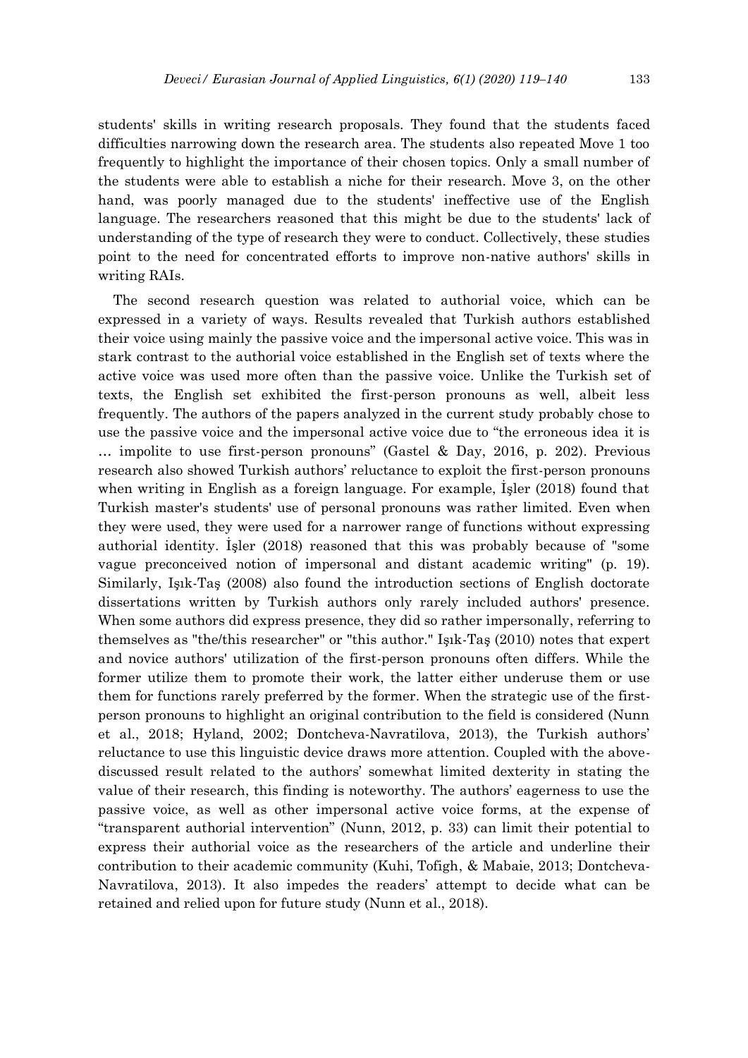students' skills in writing research proposals. They found that the students faced difficulties narrowing down the research area. The students also repeated Move 1 too frequently to highlight the importance of their chosen topics. Only a small number of the students were able to establish a niche for their research. Move 3, on the other hand, was poorly managed due to the students' ineffective use of the English language. The researchers reasoned that this might be due to the students' lack of understanding of the type of research they were to conduct. Collectively, these studies point to the need for concentrated efforts to improve non-native authors' skills in writing RAIs.

The second research question was related to authorial voice, which can be expressed in a variety of ways. Results revealed that Turkish authors established their voice using mainly the passive voice and the impersonal active voice. This was in stark contrast to the authorial voice established in the English set of texts where the active voice was used more often than the passive voice. Unlike the Turkish set of texts, the English set exhibited the first-person pronouns as well, albeit less frequently. The authors of the papers analyzed in the current study probably chose to use the passive voice and the impersonal active voice due to "the erroneous idea it is … impolite to use first-person pronouns" (Gastel & Day, 2016, p. 202). Previous research also showed Turkish authors' reluctance to exploit the first-person pronouns when writing in English as a foreign language. For example, İşler (2018) found that Turkish master's students' use of personal pronouns was rather limited. Even when they were used, they were used for a narrower range of functions without expressing authorial identity. İşler (2018) reasoned that this was probably because of "some vague preconceived notion of impersonal and distant academic writing" (p. 19). Similarly, Işık-Taş (2008) also found the introduction sections of English doctorate dissertations written by Turkish authors only rarely included authors' presence. When some authors did express presence, they did so rather impersonally, referring to themselves as "the/this researcher" or "this author." Işık-Taş (2010) notes that expert and novice authors' utilization of the first-person pronouns often differs. While the former utilize them to promote their work, the latter either underuse them or use them for functions rarely preferred by the former. When the strategic use of the firstperson pronouns to highlight an original contribution to the field is considered (Nunn et al., 2018; Hyland, 2002; Dontcheva-Navratilova, 2013), the Turkish authors' reluctance to use this linguistic device draws more attention. Coupled with the abovediscussed result related to the authors' somewhat limited dexterity in stating the value of their research, this finding is noteworthy. The authors' eagerness to use the passive voice, as well as other impersonal active voice forms, at the expense of "transparent authorial intervention" (Nunn, 2012, p. 33) can limit their potential to express their authorial voice as the researchers of the article and underline their contribution to their academic community (Kuhi, Tofigh, & Mabaie, 2013; Dontcheva-Navratilova, 2013). It also impedes the readers' attempt to decide what can be retained and relied upon for future study (Nunn et al., 2018).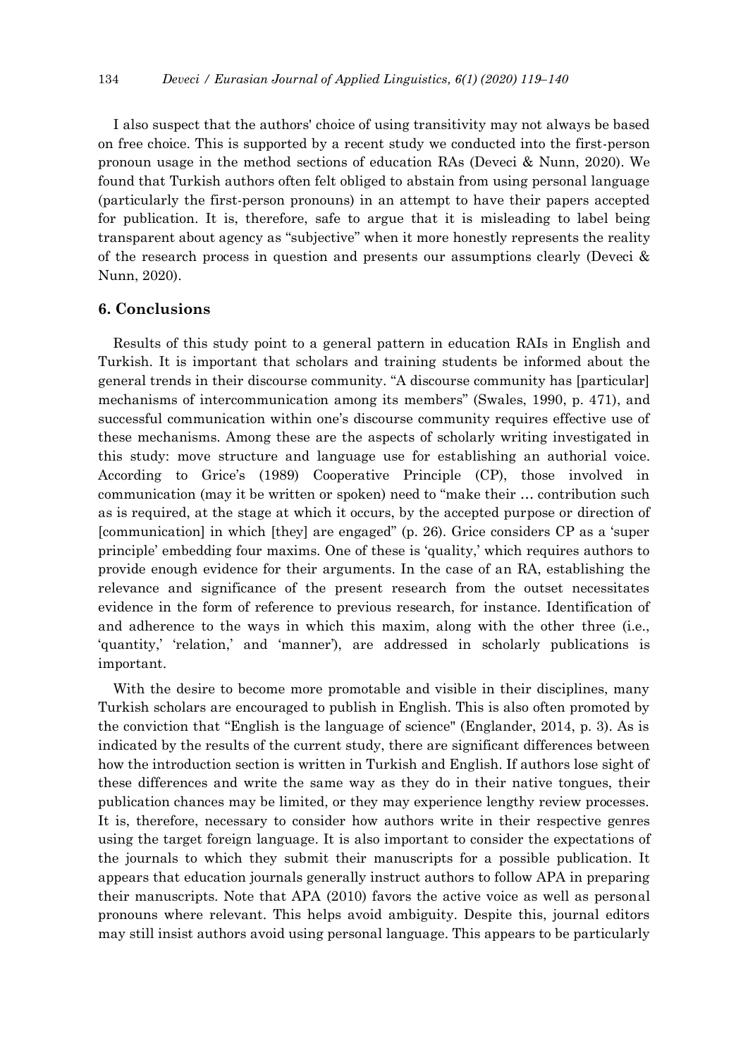I also suspect that the authors' choice of using transitivity may not always be based on free choice. This is supported by a recent study we conducted into the first-person pronoun usage in the method sections of education RAs (Deveci & Nunn, 2020). We found that Turkish authors often felt obliged to abstain from using personal language (particularly the first-person pronouns) in an attempt to have their papers accepted for publication. It is, therefore, safe to argue that it is misleading to label being transparent about agency as "subjective" when it more honestly represents the reality of the research process in question and presents our assumptions clearly (Deveci & Nunn, 2020).

# **6. Conclusions**

Results of this study point to a general pattern in education RAIs in English and Turkish. It is important that scholars and training students be informed about the general trends in their discourse community. "A discourse community has [particular] mechanisms of intercommunication among its members" (Swales, 1990, p. 471), and successful communication within one's discourse community requires effective use of these mechanisms. Among these are the aspects of scholarly writing investigated in this study: move structure and language use for establishing an authorial voice. According to Grice's (1989) Cooperative Principle (CP), those involved in communication (may it be written or spoken) need to "make their … contribution such as is required, at the stage at which it occurs, by the accepted purpose or direction of [communication] in which [they] are engaged" (p. 26). Grice considers CP as a 'super principle' embedding four maxims. One of these is 'quality,' which requires authors to provide enough evidence for their arguments. In the case of an RA, establishing the relevance and significance of the present research from the outset necessitates evidence in the form of reference to previous research, for instance. Identification of and adherence to the ways in which this maxim, along with the other three (i.e., 'quantity,' 'relation,' and 'manner'), are addressed in scholarly publications is important.

With the desire to become more promotable and visible in their disciplines, many Turkish scholars are encouraged to publish in English. This is also often promoted by the conviction that "English is the language of science" (Englander, 2014, p. 3). As is indicated by the results of the current study, there are significant differences between how the introduction section is written in Turkish and English. If authors lose sight of these differences and write the same way as they do in their native tongues, their publication chances may be limited, or they may experience lengthy review processes. It is, therefore, necessary to consider how authors write in their respective genres using the target foreign language. It is also important to consider the expectations of the journals to which they submit their manuscripts for a possible publication. It appears that education journals generally instruct authors to follow APA in preparing their manuscripts. Note that APA (2010) favors the active voice as well as personal pronouns where relevant. This helps avoid ambiguity. Despite this, journal editors may still insist authors avoid using personal language. This appears to be particularly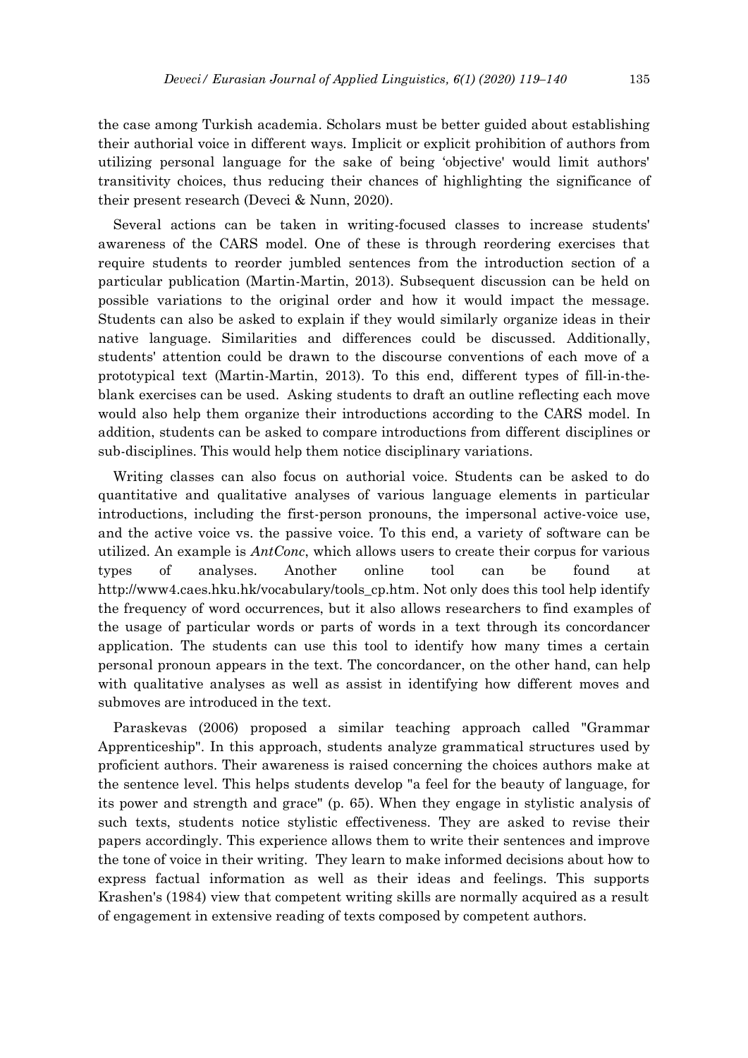the case among Turkish academia. Scholars must be better guided about establishing their authorial voice in different ways. Implicit or explicit prohibition of authors from utilizing personal language for the sake of being 'objective' would limit authors' transitivity choices, thus reducing their chances of highlighting the significance of their present research (Deveci & Nunn, 2020).

Several actions can be taken in writing-focused classes to increase students' awareness of the CARS model. One of these is through reordering exercises that require students to reorder jumbled sentences from the introduction section of a particular publication (Martin-Martin, 2013). Subsequent discussion can be held on possible variations to the original order and how it would impact the message. Students can also be asked to explain if they would similarly organize ideas in their native language. Similarities and differences could be discussed. Additionally, students' attention could be drawn to the discourse conventions of each move of a prototypical text (Martin-Martin, 2013). To this end, different types of fill-in-theblank exercises can be used. Asking students to draft an outline reflecting each move would also help them organize their introductions according to the CARS model. In addition, students can be asked to compare introductions from different disciplines or sub-disciplines. This would help them notice disciplinary variations.

Writing classes can also focus on authorial voice. Students can be asked to do quantitative and qualitative analyses of various language elements in particular introductions, including the first-person pronouns, the impersonal active-voice use, and the active voice vs. the passive voice. To this end, a variety of software can be utilized. An example is *AntConc*, which allows users to create their corpus for various types of analyses. Another online tool can be found at [http://www4.caes.hku.hk/vocabulary/tools\\_cp.htm.](http://www4.caes.hku.hk/vocabulary/tools_cp.htm) Not only does this tool help identify the frequency of word occurrences, but it also allows researchers to find examples of the usage of particular words or parts of words in a text through its concordancer application. The students can use this tool to identify how many times a certain personal pronoun appears in the text. The concordancer, on the other hand, can help with qualitative analyses as well as assist in identifying how different moves and submoves are introduced in the text.

Paraskevas (2006) proposed a similar teaching approach called "Grammar Apprenticeship". In this approach, students analyze grammatical structures used by proficient authors. Their awareness is raised concerning the choices authors make at the sentence level. This helps students develop "a feel for the beauty of language, for its power and strength and grace" (p. 65). When they engage in stylistic analysis of such texts, students notice stylistic effectiveness. They are asked to revise their papers accordingly. This experience allows them to write their sentences and improve the tone of voice in their writing. They learn to make informed decisions about how to express factual information as well as their ideas and feelings. This supports Krashen's (1984) view that competent writing skills are normally acquired as a result of engagement in extensive reading of texts composed by competent authors.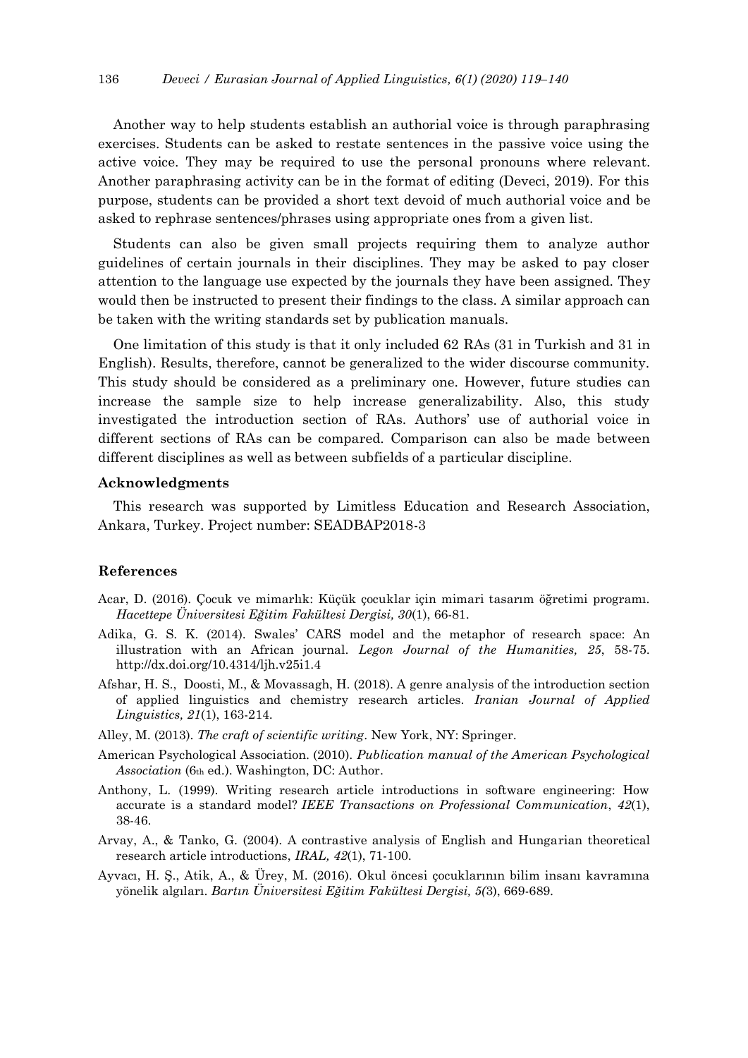Another way to help students establish an authorial voice is through paraphrasing exercises. Students can be asked to restate sentences in the passive voice using the active voice. They may be required to use the personal pronouns where relevant. Another paraphrasing activity can be in the format of editing (Deveci, 2019). For this purpose, students can be provided a short text devoid of much authorial voice and be asked to rephrase sentences/phrases using appropriate ones from a given list.

Students can also be given small projects requiring them to analyze author guidelines of certain journals in their disciplines. They may be asked to pay closer attention to the language use expected by the journals they have been assigned. They would then be instructed to present their findings to the class. A similar approach can be taken with the writing standards set by publication manuals.

One limitation of this study is that it only included 62 RAs (31 in Turkish and 31 in English). Results, therefore, cannot be generalized to the wider discourse community. This study should be considered as a preliminary one. However, future studies can increase the sample size to help increase generalizability. Also, this study investigated the introduction section of RAs. Authors' use of authorial voice in different sections of RAs can be compared. Comparison can also be made between different disciplines as well as between subfields of a particular discipline.

#### **Acknowledgments**

This research was supported by Limitless Education and Research Association, Ankara, Turkey. Project number: SEADBAP2018-3

## **References**

- Acar, D. (2016). Çocuk ve mimarlık: Küçük çocuklar için mimari tasarım öğretimi programı. *Hacettepe Üniversitesi Eğitim Fakültesi Dergisi, 30*(1), 66-81.
- Adika, G. S. K. (2014). Swales' CARS model and the metaphor of research space: An illustration with an African journal. *Legon Journal of the Humanities, 25*, 58-75. http://dx.doi.org/10.4314/ljh.v25i1.4
- Afshar, H. S., Doosti, M., & Movassagh, H. (2018). A genre analysis of the introduction section of applied linguistics and chemistry research articles. *Iranian Journal of Applied Linguistics, 21*(1), 163-214.
- Alley, M. (2013). *The craft of scientific writing*. New York, NY: Springer.
- American Psychological Association. (2010). *Publication manual of the American Psychological Association* (6th ed.). Washington, DC: Author.
- Anthony, L. (1999). Writing research article introductions in software engineering: How accurate is a standard model? *IEEE Transactions on Professional Communication*, *42*(1), 38-46.
- Arvay, A., & Tanko, G. (2004). A contrastive analysis of English and Hungarian theoretical research article introductions, *IRAL, 42*(1), 71-100.
- Ayvacı, H. Ş., Atik, A., & Ürey, M. (2016). Okul öncesi çocuklarının bilim insanı kavramına yönelik algıları. *Bartın Üniversitesi Eğitim Fakültesi Dergisi, 5(*3), 669-689.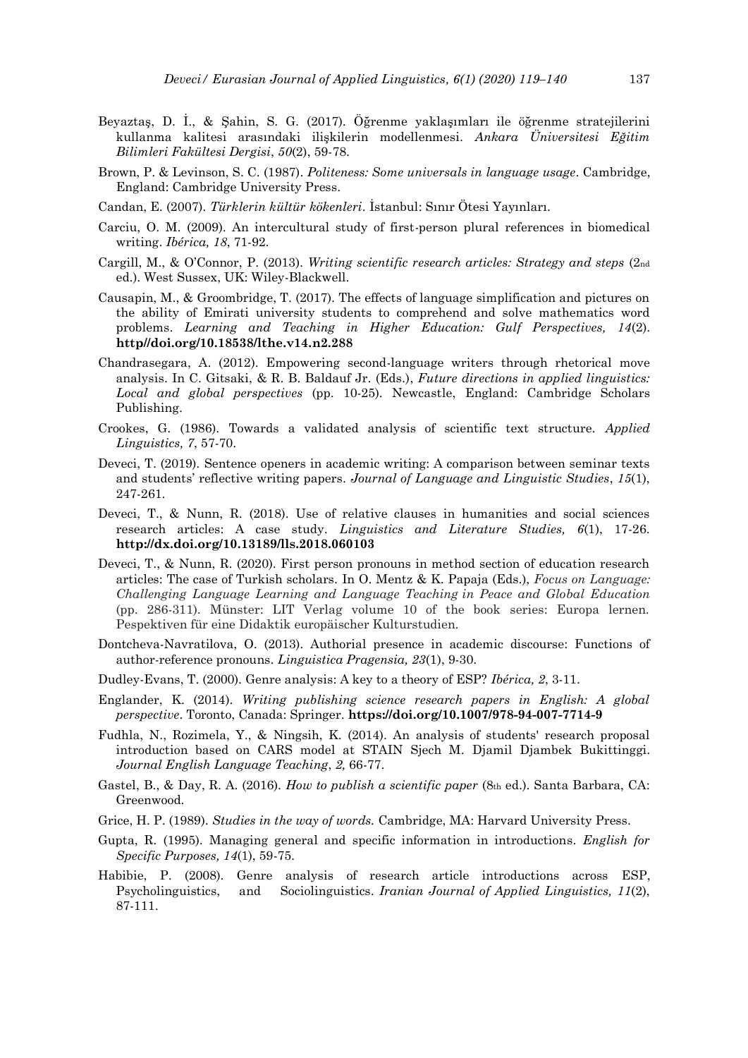- Beyaztaş, D. İ., & Şahin, S. G. (2017). Öğrenme yaklaşımları ile öğrenme stratejilerini kullanma kalitesi arasındaki ilişkilerin modellenmesi. *Ankara Üniversitesi Eğitim Bilimleri Fakültesi Dergisi*, *50*(2), 59-78.
- Brown, P. & Levinson, S. C. (1987). *Politeness: Some universals in language usage*. Cambridge, England: Cambridge University Press.
- Candan, E. (2007). *Türklerin kültür kökenleri*. İstanbul: Sınır Ötesi Yayınları.
- Carciu, O. M. (2009). An intercultural study of first-person plural references in biomedical writing. *Ibérica, 18*, 71-92.
- Cargill, M., & O'Connor, P. (2013). *Writing scientific research articles: Strategy and steps* (2nd ed.). West Sussex, UK: Wiley-Blackwell.
- Causapin, M., & Groombridge, T. (2017). The effects of language simplification and pictures on the ability of Emirati university students to comprehend and solve mathematics word problems. *Learning and Teaching in Higher Education: Gulf Perspectives, 14*(2). **http//doi.org/10.18538/lthe.v14.n2.288**
- Chandrasegara, A. (2012). Empowering second-language writers through rhetorical move analysis. In C. Gitsaki, & R. B. Baldauf Jr. (Eds.), *Future directions in applied linguistics: Local and global perspectives* (pp. 10-25). Newcastle, England: Cambridge Scholars Publishing.
- Crookes, G. (1986). Towards a validated analysis of scientific text structure. *Applied Linguistics, 7*, 57-70.
- Deveci, T. (2019). Sentence openers in academic writing: A comparison between seminar texts and students' reflective writing papers. *Journal of Language and Linguistic Studies*, *15*(1), 247-261.
- Deveci, T., & Nunn, R. (2018). Use of relative clauses in humanities and social sciences research articles: A case study. *Linguistics and Literature Studies, 6*(1), 17-26. **http://dx.doi.org/10.13189/lls.2018.060103**
- Deveci, T., & Nunn, R. (2020). First person pronouns in method section of education research articles: The case of Turkish scholars. In O. Mentz & K. Papaja (Eds.), *Focus on Language: Challenging Language Learning and Language Teaching in Peace and Global Education* (pp. 286-311). Münster: LIT Verlag volume 10 of the book series: Europa lernen. Pespektiven für eine Didaktik europäischer Kulturstudien.
- Dontcheva-Navratilova, O. (2013). Authorial presence in academic discourse: Functions of author-reference pronouns. *Linguistica Pragensia, 23*(1), 9-30.
- Dudley-Evans, T. (2000). Genre analysis: A key to a theory of ESP? *Ibérica, 2*, 3-11.
- Englander, K. (2014). *Writing publishing science research papers in English: A global perspective*. Toronto, Canada: Springer. **<https://doi.org/10.1007/978-94-007-7714-9>**
- Fudhla, N., Rozimela, Y., & Ningsih, K. (2014). An analysis of students' research proposal introduction based on CARS model at STAIN Sjech M. Djamil Djambek Bukittinggi. *Journal English Language Teaching*, *2,* 66-77.
- Gastel, B., & Day, R. A. (2016). *How to publish a scientific paper* (8th ed.). Santa Barbara, CA: Greenwood.
- Grice, H. P. (1989). *Studies in the way of words.* Cambridge, MA: Harvard University Press.
- Gupta, R. (1995). Managing general and specific information in introductions. *English for Specific Purposes, 14*(1), 59-75.
- Habibie, P. (2008). Genre analysis of research article introductions across ESP, Psycholinguistics, and Sociolinguistics. *Iranian Journal of Applied Linguistics, 11*(2), 87-111.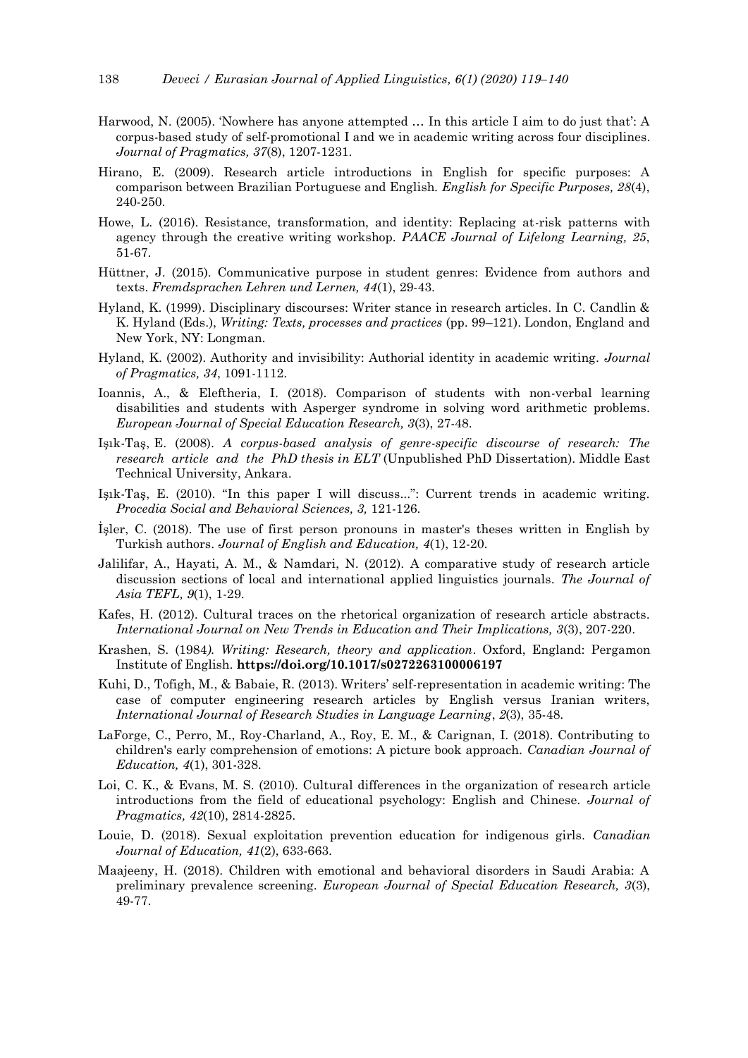- Harwood, N. (2005). 'Nowhere has anyone attempted … In this article I aim to do just that': A corpus-based study of self-promotional I and we in academic writing across four disciplines. *Journal of Pragmatics, 37*(8), 1207-1231.
- Hirano, E. (2009). Research article introductions in English for specific purposes: A comparison between Brazilian Portuguese and English. *English for Specific Purposes, 28*(4), 240-250.
- Howe, L. (2016). Resistance, transformation, and identity: Replacing at-risk patterns with agency through the creative writing workshop. *PAACE Journal of Lifelong Learning, 25*, 51-67.
- Hüttner, J. (2015). Communicative purpose in student genres: Evidence from authors and texts. *Fremdsprachen Lehren und Lernen, 44*(1), 29-43.
- Hyland, K. (1999). Disciplinary discourses: Writer stance in research articles. In C. Candlin & K. Hyland (Eds.), *Writing: Texts, processes and practices* (pp. 99–121). London, England and New York, NY: Longman.
- Hyland, K. (2002). Authority and invisibility: Authorial identity in academic writing. *Journal of Pragmatics, 34*, 1091-1112.
- Ioannis, A., & Eleftheria, I. (2018). Comparison of students with non-verbal learning disabilities and students with Asperger syndrome in solving word arithmetic problems. *European Journal of Special Education Research, 3*(3), 27-48.
- Işık-Taş, E. (2008). *A corpus-based analysis of genre-specific discourse of research: The research article and the PhD thesis in ELT* (Unpublished PhD Dissertation). Middle East Technical University, Ankara.
- Işık-Taş, E. (2010). "In this paper I will discuss...": Current trends in academic writing. *Procedia Social and Behavioral Sciences, 3,* 121-126.
- İşler, C. (2018). The use of first person pronouns in master's theses written in English by Turkish authors. *Journal of English and Education, 4*(1), 12-20.
- Jalilifar, A., Hayati, A. M., & Namdari, N. (2012). A comparative study of research article discussion sections of local and international applied linguistics journals. *The Journal of Asia TEFL, 9*(1), 1-29.
- Kafes, H. (2012). Cultural traces on the rhetorical organization of research article abstracts. *International Journal on New Trends in Education and Their Implications, 3*(3), 207-220.
- Krashen, S. (1984*). Writing: Research, theory and application*. Oxford, England: Pergamon Institute of English. **https://doi.org/10.1017/s0272263100006197**
- Kuhi, D., Tofigh, M., & Babaie, R. (2013). Writers' self-representation in academic writing: The case of computer engineering research articles by English versus Iranian writers, *International Journal of Research Studies in Language Learning*, *2*(3), 35-48.
- LaForge, C., Perro, M., Roy-Charland, A., Roy, E. M., & Carignan, I. (2018). Contributing to children's early comprehension of emotions: A picture book approach. *Canadian Journal of Education, 4*(1), 301-328.
- Loi, C. K., & Evans, M. S. (2010). Cultural differences in the organization of research article introductions from the field of educational psychology: English and Chinese. *Journal of Pragmatics, 42*(10), 2814-2825.
- Louie, D. (2018). Sexual exploitation prevention education for indigenous girls. *Canadian Journal of Education, 41*(2), 633-663.
- Maajeeny, H. (2018). Children with emotional and behavioral disorders in Saudi Arabia: A preliminary prevalence screening. *European Journal of Special Education Research, 3*(3), 49-77.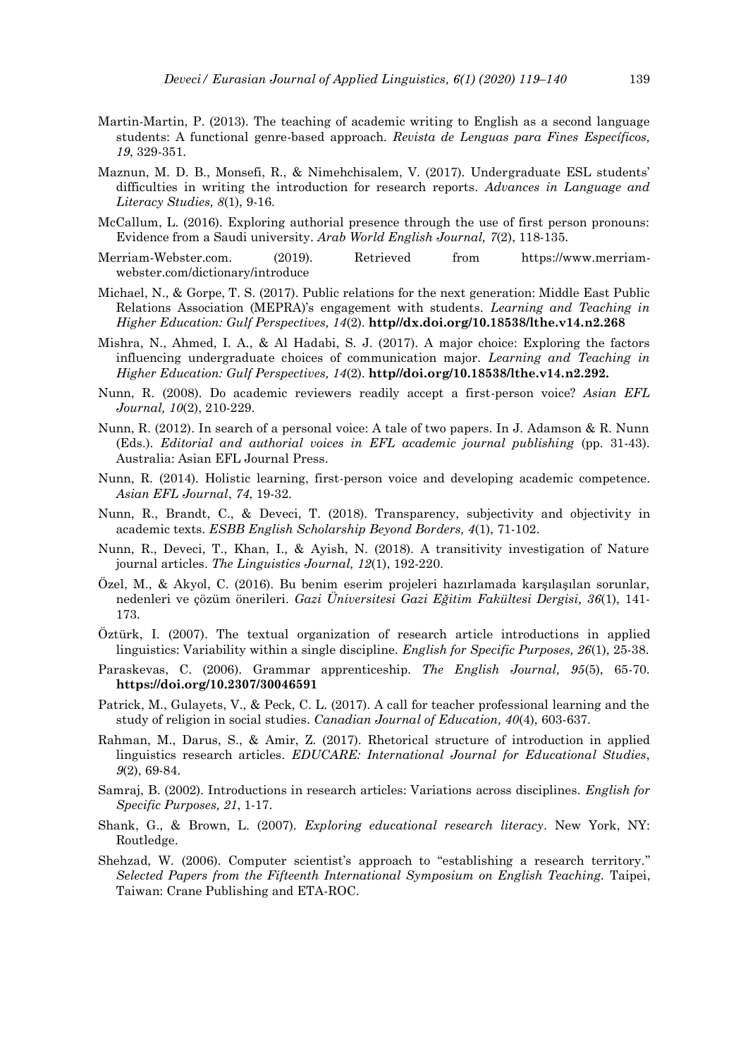- Martin-Martin, P. (2013). The teaching of academic writing to English as a second language students: A functional genre-based approach. *Revista de Lenguas para Fines Específicos, 19*, 329-351.
- Maznun, M. D. B., Monsefi, R., & Nimehchisalem, V. (2017). Undergraduate ESL students' difficulties in writing the introduction for research reports. *Advances in Language and Literacy Studies, 8*(1), 9-16.
- McCallum, L. (2016). Exploring authorial presence through the use of first person pronouns: Evidence from a Saudi university. *Arab World English Journal, 7*(2), 118-135.
- Merriam-Webster.com. (2019). Retrieved from [https://www.merriam](https://www.merriam-webster.com/dictionary/introduce)[webster.com/dictionary/introduce](https://www.merriam-webster.com/dictionary/introduce)
- Michael, N., & Gorpe, T. S. (2017). Public relations for the next generation: Middle East Public Relations Association (MEPRA)'s engagement with students. *Learning and Teaching in Higher Education: Gulf Perspectives, 14*(2). **http//dx.doi.org/10.18538/lthe.v14.n2.268**
- Mishra, N., Ahmed, I. A., & Al Hadabi, S. J. (2017). A major choice: Exploring the factors influencing undergraduate choices of communication major. *Learning and Teaching in Higher Education: Gulf Perspectives, 14*(2). **http//doi.org/10.18538/lthe.v14.n2.292.**
- Nunn, R. (2008). Do academic reviewers readily accept a first-person voice? *Asian EFL Journal, 10*(2), 210-229.
- Nunn, R. (2012). In search of a personal voice: A tale of two papers. In J. Adamson & R. Nunn (Eds.). *Editorial and authorial voices in EFL academic journal publishing* (pp. 31-43). Australia: Asian EFL Journal Press.
- Nunn, R. (2014). Holistic learning, first-person voice and developing academic competence. *Asian EFL Journal*, *74*, 19-32.
- Nunn, R., Brandt, C., & Deveci, T. (2018). Transparency, subjectivity and objectivity in academic texts. *ESBB English Scholarship Beyond Borders, 4*(1), 71-102.
- Nunn, R., Deveci, T., Khan, I., & Ayish, N. (2018). A transitivity investigation of Nature journal articles. *The Linguistics Journal, 12*(1), 192-220.
- Özel, M., & Akyol, C. (2016). Bu benim eserim projeleri hazırlamada karşılaşılan sorunlar, nedenleri ve çözüm önerileri. *Gazi Üniversitesi Gazi Eğitim Fakültesi Dergisi, 36*(1), 141- 173.
- Öztürk, I. (2007). The textual organization of research article introductions in applied linguistics: Variability within a single discipline. *English for Specific Purposes, 26*(1), 25-38.
- Paraskevas, C. (2006). Grammar apprenticeship. *The English Journal, 95*(5), 65-70. **<https://doi.org/10.2307/30046591>**
- Patrick, M., Gulayets, V., & Peck, C. L. (2017). A call for teacher professional learning and the study of religion in social studies. *Canadian Journal of Education, 40*(4), 603-637.
- Rahman, M., Darus, S., & Amir, Z. (2017). Rhetorical structure of introduction in applied linguistics research articles. *EDUCARE: International Journal for Educational Studies*, *9*(2), 69-84.
- Samraj, B. (2002). Introductions in research articles: Variations across disciplines. *English for Specific Purposes, 21*, 1-17.
- Shank, G., & Brown, L. (2007). *Exploring educational research literacy*. New York, NY: Routledge.
- Shehzad, W. (2006). Computer scientist's approach to "establishing a research territory." *Selected Papers from the Fifteenth International Symposium on English Teaching.* Taipei, Taiwan: Crane Publishing and ETA-ROC.